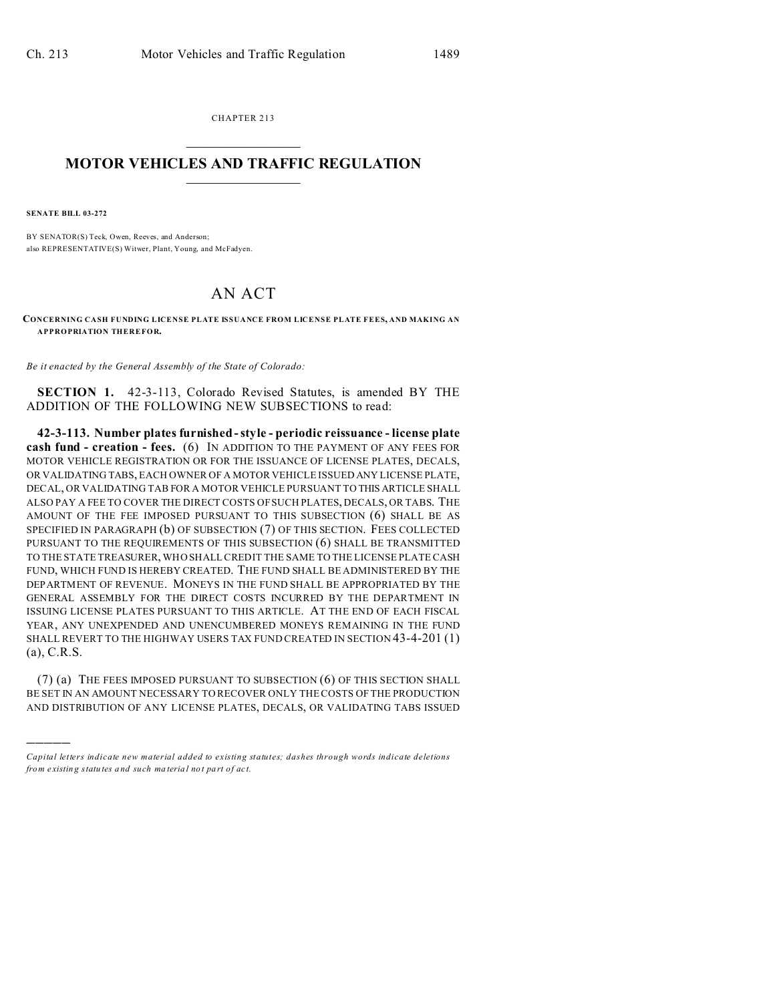CHAPTER 213  $\overline{\phantom{a}}$  , where  $\overline{\phantom{a}}$ 

## **MOTOR VEHICLES AND TRAFFIC REGULATION**  $\frac{1}{2}$  ,  $\frac{1}{2}$  ,  $\frac{1}{2}$  ,  $\frac{1}{2}$  ,  $\frac{1}{2}$  ,  $\frac{1}{2}$  ,  $\frac{1}{2}$

**SENATE BILL 03-272**

)))))

BY SENATOR(S) Teck, Owen, Reeves, and Anderson; also REPRESENTATIVE(S) Witwer, Plant, Young, and McFadyen.

## AN ACT

**CONCERNING CASH FUNDING LICENSE PLATE ISSUANCE FROM LICENSE PLATE FEES, AND MAKING AN APPROPRIATION THEREFOR.**

*Be it enacted by the General Assembly of the State of Colorado:*

**SECTION 1.** 42-3-113, Colorado Revised Statutes, is amended BY THE ADDITION OF THE FOLLOWING NEW SUBSECTIONS to read:

**42-3-113. Number plates furnished - style - periodic reissuance - license plate cash fund - creation - fees.** (6) IN ADDITION TO THE PAYMENT OF ANY FEES FOR MOTOR VEHICLE REGISTRATION OR FOR THE ISSUANCE OF LICENSE PLATES, DECALS, OR VALIDATING TABS, EACH OWNER OF A MOTOR VEHICLE ISSUED ANY LICENSE PLATE, DECAL, OR VALIDATING TAB FOR A MOTOR VEHICLE PURSUANT TO THIS ARTICLE SHALL ALSO PAY A FEE TO COVER THE DIRECT COSTS OF SUCH PLATES, DECALS, OR TABS. THE AMOUNT OF THE FEE IMPOSED PURSUANT TO THIS SUBSECTION (6) SHALL BE AS SPECIFIED IN PARAGRAPH (b) OF SUBSECTION (7) OF THIS SECTION. FEES COLLECTED PURSUANT TO THE REQUIREMENTS OF THIS SUBSECTION (6) SHALL BE TRANSMITTED TO THE STATE TREASURER, WHO SHALL CREDIT THE SAME TO THE LICENSE PLATE CASH FUND, WHICH FUND IS HEREBY CREATED. THE FUND SHALL BE ADMINISTERED BY THE DEPARTMENT OF REVENUE. MONEYS IN THE FUND SHALL BE APPROPRIATED BY THE GENERAL ASSEMBLY FOR THE DIRECT COSTS INCURRED BY THE DEPARTMENT IN ISSUING LICENSE PLATES PURSUANT TO THIS ARTICLE. AT THE END OF EACH FISCAL YEAR, ANY UNEXPENDED AND UNENCUMBERED MONEYS REMAINING IN THE FUND SHALL REVERT TO THE HIGHWAY USERS TAX FUND CREATED IN SECTION 43-4-201 (1) (a), C.R.S.

(7) (a) THE FEES IMPOSED PURSUANT TO SUBSECTION (6) OF THIS SECTION SHALL BE SET IN AN AMOUNT NECESSARY TO RECOVER ONLY THE COSTS OF THE PRODUCTION AND DISTRIBUTION OF ANY LICENSE PLATES, DECALS, OR VALIDATING TABS ISSUED

*Capital letters indicate new material added to existing statutes; dashes through words indicate deletions from e xistin g statu tes a nd such ma teria l no t pa rt of ac t.*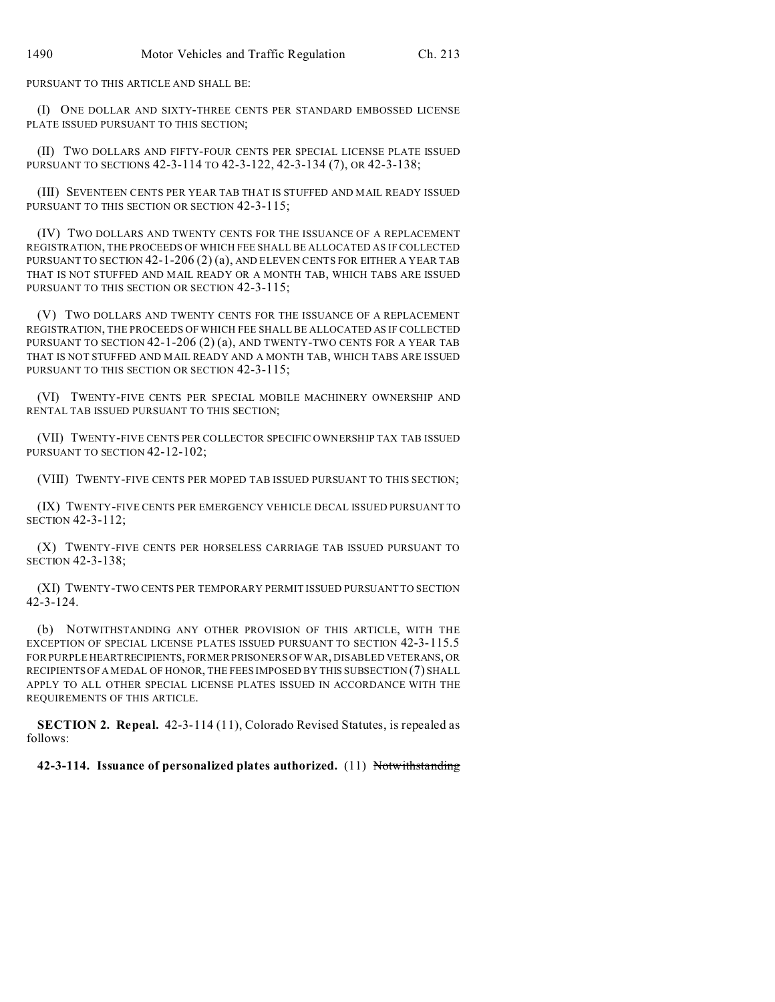PURSUANT TO THIS ARTICLE AND SHALL BE:

(I) ONE DOLLAR AND SIXTY-THREE CENTS PER STANDARD EMBOSSED LICENSE PLATE ISSUED PURSUANT TO THIS SECTION;

(II) TWO DOLLARS AND FIFTY-FOUR CENTS PER SPECIAL LICENSE PLATE ISSUED PURSUANT TO SECTIONS 42-3-114 TO 42-3-122, 42-3-134 (7), OR 42-3-138;

(III) SEVENTEEN CENTS PER YEAR TAB THAT IS STUFFED AND MAIL READY ISSUED PURSUANT TO THIS SECTION OR SECTION 42-3-115;

(IV) TWO DOLLARS AND TWENTY CENTS FOR THE ISSUANCE OF A REPLACEMENT REGISTRATION, THE PROCEEDS OF WHICH FEE SHALL BE ALLOCATED AS IF COLLECTED PURSUANT TO SECTION  $42$ -1-206 (2) (a), AND ELEVEN CENTS FOR EITHER A YEAR TAB THAT IS NOT STUFFED AND MAIL READY OR A MONTH TAB, WHICH TABS ARE ISSUED PURSUANT TO THIS SECTION OR SECTION 42-3-115;

(V) TWO DOLLARS AND TWENTY CENTS FOR THE ISSUANCE OF A REPLACEMENT REGISTRATION, THE PROCEEDS OF WHICH FEE SHALL BE ALLOCATED AS IF COLLECTED PURSUANT TO SECTION 42-1-206 (2) (a), AND TWENTY-TWO CENTS FOR A YEAR TAB THAT IS NOT STUFFED AND MAIL READY AND A MONTH TAB, WHICH TABS ARE ISSUED PURSUANT TO THIS SECTION OR SECTION 42-3-115;

(VI) TWENTY-FIVE CENTS PER SPECIAL MOBILE MACHINERY OWNERSHIP AND RENTAL TAB ISSUED PURSUANT TO THIS SECTION;

(VII) TWENTY-FIVE CENTS PER COLLECTOR SPECIFIC OWNERSHIP TAX TAB ISSUED PURSUANT TO SECTION 42-12-102;

(VIII) TWENTY-FIVE CENTS PER MOPED TAB ISSUED PURSUANT TO THIS SECTION;

(IX) TWENTY-FIVE CENTS PER EMERGENCY VEHICLE DECAL ISSUED PURSUANT TO SECTION 42-3-112;

(X) TWENTY-FIVE CENTS PER HORSELESS CARRIAGE TAB ISSUED PURSUANT TO SECTION 42-3-138;

(XI) TWENTY-TWO CENTS PER TEMPORARY PERMIT ISSUED PURSUANT TO SECTION 42-3-124.

(b) NOTWITHSTANDING ANY OTHER PROVISION OF THIS ARTICLE, WITH THE EXCEPTION OF SPECIAL LICENSE PLATES ISSUED PURSUANT TO SECTION 42-3-115.5 FOR PURPLE HEARTRECIPIENTS, FORMER PRISONERS OF WAR, DISABLED VETERANS, OR RECIPIENTS OF A MEDAL OF HONOR, THE FEES IMPOSED BY THIS SUBSECTION (7) SHALL APPLY TO ALL OTHER SPECIAL LICENSE PLATES ISSUED IN ACCORDANCE WITH THE REQUIREMENTS OF THIS ARTICLE.

**SECTION 2. Repeal.** 42-3-114 (11), Colorado Revised Statutes, is repealed as follows:

**42-3-114. Issuance of personalized plates authorized.** (11) Notwithstanding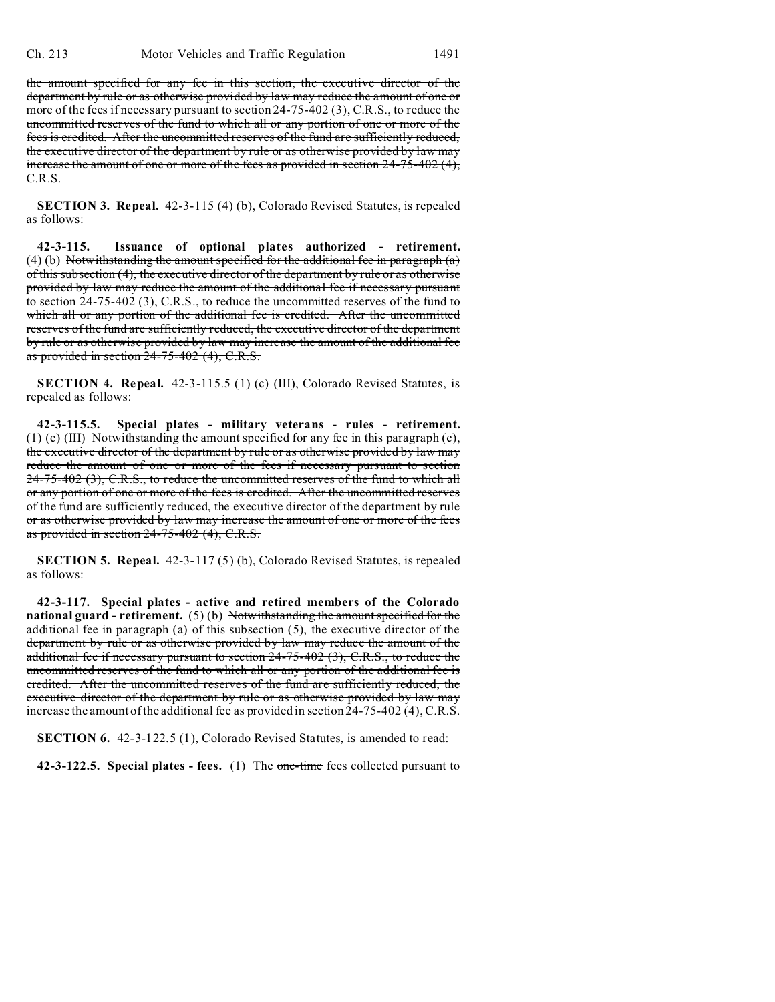the amount specified for any fee in this section, the executive director of the department by rule or as otherwise provided by law may reduce the amount of one or more of the fees if necessary pursuant to section 24-75-402 (3), C.R.S., to reduce the uncommitted reserves of the fund to which all or any portion of one or more of the fees is credited. After the uncommitted reserves of the fund are sufficiently reduced, the executive director of the department by rule or as otherwise provided by law may increase the amount of one or more of the fees as provided in section 24-75-402 (4), C.R.S.

**SECTION 3. Repeal.** 42-3-115 (4) (b), Colorado Revised Statutes, is repealed as follows:

**42-3-115. Issuance of optional plates authorized - retirement.** (4) (b) Notwithstanding the amount specified for the additional fee in paragraph  $(a)$ of this subsection (4), the executive director of the department by rule or as otherwise provided by law may reduce the amount of the additional fee if necessary pursuant to section 24-75-402 (3), C.R.S., to reduce the uncommitted reserves of the fund to which all or any portion of the additional fee is credited. After the uncommitted reserves of the fund are sufficiently reduced, the executive director of the department by rule or as otherwise provided by law may increase the amount of the additional fee as provided in section 24-75-402 (4), C.R.S.

**SECTION 4. Repeal.** 42-3-115.5 (1) (c) (III), Colorado Revised Statutes, is repealed as follows:

**42-3-115.5. Special plates - military veterans - rules - retirement.** (1) (c) (III) Notwithstanding the amount specified for any fee in this paragraph  $(c)$ , the executive director of the department by rule or as otherwise provided by law may reduce the amount of one or more of the fees if necessary pursuant to section 24-75-402 (3), C.R.S., to reduce the uncommitted reserves of the fund to which all or any portion of one or more of the fees is credited. After the uncommitted reserves of the fund are sufficiently reduced, the executive director of the department by rule or as otherwise provided by law may increase the amount of one or more of the fees as provided in section 24-75-402 (4), C.R.S.

**SECTION 5. Repeal.** 42-3-117 (5) (b), Colorado Revised Statutes, is repealed as follows:

**42-3-117. Special plates - active and retired members of the Colorado national guard - retirement.** (5) (b) Notwithstanding the amount specified for the additional fee in paragraph (a) of this subsection  $(5)$ , the executive director of the department by rule or as otherwise provided by law may reduce the amount of the additional fee if necessary pursuant to section 24-75-402 (3), C.R.S., to reduce the uncommitted reserves of the fund to which all or any portion of the additional fee is credited. After the uncommitted reserves of the fund are sufficiently reduced, the executive director of the department by rule or as otherwise provided by law may increase the amount of the additional fee as provided in section 24-75-402 (4), C.R.S.

**SECTION 6.** 42-3-122.5 (1), Colorado Revised Statutes, is amended to read:

**42-3-122.5. Special plates - fees.** (1) The one-time fees collected pursuant to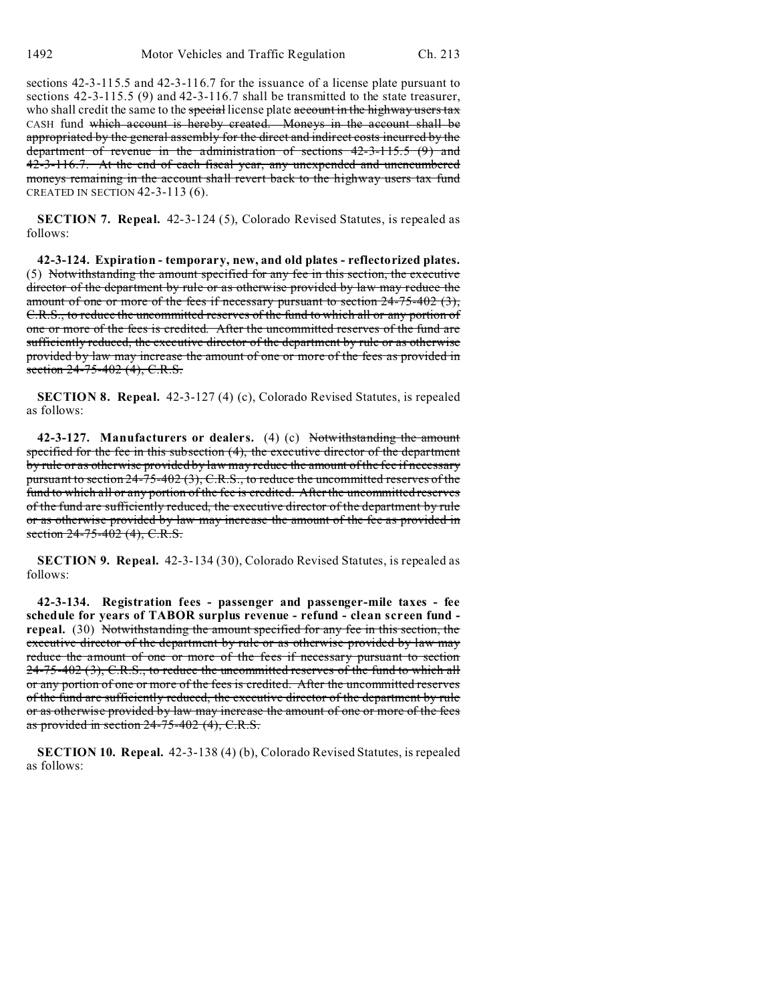sections 42-3-115.5 and 42-3-116.7 for the issuance of a license plate pursuant to sections 42-3-115.5 (9) and 42-3-116.7 shall be transmitted to the state treasurer, who shall credit the same to the special license plate account in the highway users tax CASH fund which account is hereby created. Moneys in the account shall be appropriated by the general assembly for the direct and indirect costs incurred by the department of revenue in the administration of sections 42-3-115.5 (9) and 42-3-116.7. At the end of each fiscal year, any unexpended and unencumbered moneys remaining in the account shall revert back to the highway users tax fund CREATED IN SECTION 42-3-113 (6).

**SECTION 7. Repeal.** 42-3-124 (5), Colorado Revised Statutes, is repealed as follows:

**42-3-124. Expiration - temporary, new, and old plates - reflectorized plates.** (5) Notwithstanding the amount specified for any fee in this section, the executive director of the department by rule or as otherwise provided by law may reduce the amount of one or more of the fees if necessary pursuant to section 24-75-402 (3), C.R.S., to reduce the uncommitted reserves of the fund to which all or any portion of one or more of the fees is credited. After the uncommitted reserves of the fund are sufficiently reduced, the executive director of the department by rule or as otherwise provided by law may increase the amount of one or more of the fees as provided in section 24-75-402 (4), C.R.S.

**SECTION 8. Repeal.** 42-3-127 (4) (c), Colorado Revised Statutes, is repealed as follows:

**42-3-127. Manufacturers or dealers.** (4) (c) Notwithstanding the amount specified for the fee in this subsection (4), the executive director of the department by rule or as otherwise provided by law may reduce the amount of the fee if necessary pursuant to section 24-75-402 (3), C.R.S., to reduce the uncommitted reserves of the fund to which all or any portion of the fee is credited. After the uncommitted reserves of the fund are sufficiently reduced, the executive director of the department by rule or as otherwise provided by law may increase the amount of the fee as provided in section 24-75-402 (4), C.R.S.

**SECTION 9. Repeal.** 42-3-134 (30), Colorado Revised Statutes, is repealed as follows:

**42-3-134. Registration fees - passenger and passenger-mile taxes - fee schedule for years of TABOR surplus revenue - refund - clean screen fund repeal.** (30) Notwithstanding the amount specified for any fee in this section, the executive director of the department by rule or as otherwise provided by law may reduce the amount of one or more of the fees if necessary pursuant to section  $24-75-402$  (3), C.R.S., to reduce the uncommitted reserves of the fund to which all or any portion of one or more of the fees is credited. After the uncommitted reserves of the fund are sufficiently reduced, the executive director of the department by rule or as otherwise provided by law may increase the amount of one or more of the fees as provided in section 24-75-402 (4), C.R.S.

**SECTION 10. Repeal.** 42-3-138 (4) (b), Colorado Revised Statutes, is repealed as follows: